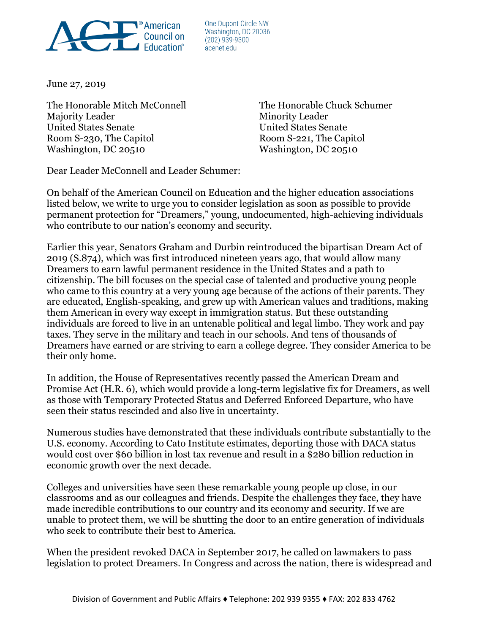

One Dupont Circle NW Washington, DC 20036  $(202)$  939-9300 acenet.edu

June 27, 2019

The Honorable Mitch McConnell The Honorable Chuck Schumer Majority Leader Minority Leader United States Senate United States Senate Room S-230, The Capitol Room S-221, The Capitol Washington, DC 20510 Washington, DC 20510

Dear Leader McConnell and Leader Schumer:

On behalf of the American Council on Education and the higher education associations listed below, we write to urge you to consider legislation as soon as possible to provide permanent protection for "Dreamers," young, undocumented, high-achieving individuals who contribute to our nation's economy and security.

Earlier this year, Senators Graham and Durbin reintroduced the bipartisan Dream Act of 2019 (S.874), which was first introduced nineteen years ago, that would allow many Dreamers to earn lawful permanent residence in the United States and a path to citizenship. The bill focuses on the special case of talented and productive young people who came to this country at a very young age because of the actions of their parents. They are educated, English-speaking, and grew up with American values and traditions, making them American in every way except in immigration status. But these outstanding individuals are forced to live in an untenable political and legal limbo. They work and pay taxes. They serve in the military and teach in our schools. And tens of thousands of Dreamers have earned or are striving to earn a college degree. They consider America to be their only home.

In addition, the House of Representatives recently passed the American Dream and Promise Act (H.R. 6), which would provide a long-term legislative fix for Dreamers, as well as those with Temporary Protected Status and Deferred Enforced Departure, who have seen their status rescinded and also live in uncertainty.

Numerous studies have demonstrated that these individuals contribute substantially to the U.S. economy. According to Cato Institute estimates, deporting those with DACA status would cost over \$60 billion in lost tax revenue and result in a \$280 billion reduction in economic growth over the next decade.

Colleges and universities have seen these remarkable young people up close, in our classrooms and as our colleagues and friends. Despite the challenges they face, they have made incredible contributions to our country and its economy and security. If we are unable to protect them, we will be shutting the door to an entire generation of individuals who seek to contribute their best to America.

When the president revoked DACA in September 2017, he called on lawmakers to pass legislation to protect Dreamers. In Congress and across the nation, there is widespread and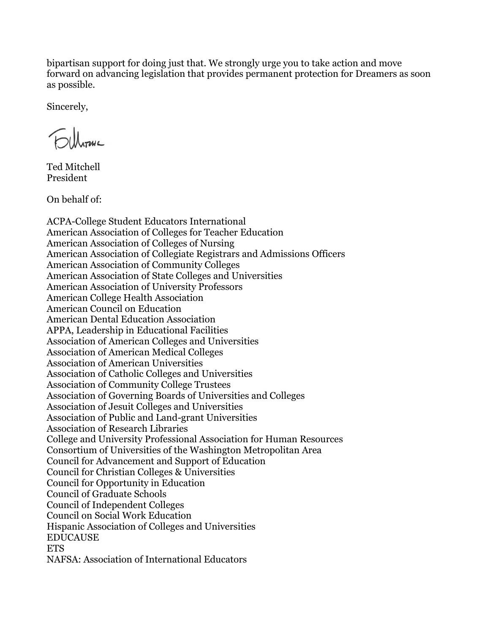bipartisan support for doing just that. We strongly urge you to take action and move forward on advancing legislation that provides permanent protection for Dreamers as soon as possible.

Sincerely,

Ted Mitchell President

On behalf of:

ACPA-College Student Educators International American Association of Colleges for Teacher Education American Association of Colleges of Nursing American Association of Collegiate Registrars and Admissions Officers American Association of Community Colleges American Association of State Colleges and Universities American Association of University Professors American College Health Association American Council on Education American Dental Education Association APPA, Leadership in Educational Facilities Association of American Colleges and Universities Association of American Medical Colleges Association of American Universities Association of Catholic Colleges and Universities Association of Community College Trustees Association of Governing Boards of Universities and Colleges Association of Jesuit Colleges and Universities Association of Public and Land-grant Universities Association of Research Libraries College and University Professional Association for Human Resources Consortium of Universities of the Washington Metropolitan Area Council for Advancement and Support of Education Council for Christian Colleges & Universities Council for Opportunity in Education Council of Graduate Schools Council of Independent Colleges Council on Social Work Education Hispanic Association of Colleges and Universities EDUCAUSE **ETS** NAFSA: Association of International Educators